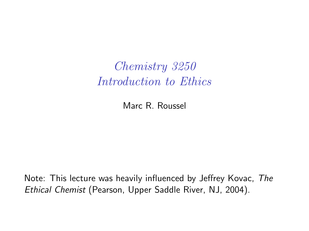Chemistry 3250 Introduction to Ethics

Marc R. Roussel

Note: This lecture was heavily influenced by Jeffrey Kovac, The Ethical Chemist (Pearson, Upper Saddle River, NJ, 2004).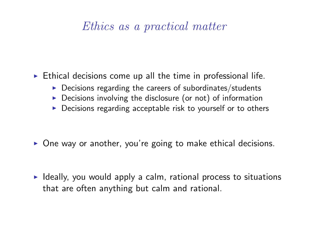### Ethics as a practical matter

 $\triangleright$  Ethical decisions come up all the time in professional life.

- $\triangleright$  Decisions regarding the careers of subordinates/students
- $\triangleright$  Decisions involving the disclosure (or not) of information
- $\triangleright$  Decisions regarding acceptable risk to yourself or to others

 $\triangleright$  One way or another, you're going to make ethical decisions.

 $\blacktriangleright$  Ideally, you would apply a calm, rational process to situations that are often anything but calm and rational.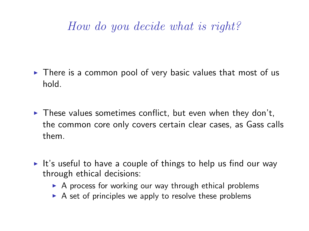# How do you decide what is right?

- $\triangleright$  There is a common pool of very basic values that most of us hold.
- $\triangleright$  These values sometimes conflict, but even when they don't, the common core only covers certain clear cases, as Gass calls them.
- It's useful to have a couple of things to help us find our way through ethical decisions:
	- $\triangleright$  A process for working our way through ethical problems
	- $\triangleright$  A set of principles we apply to resolve these problems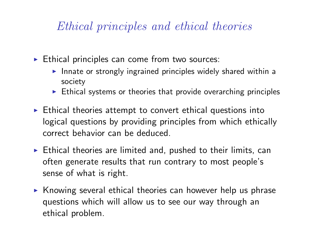## Ethical principles and ethical theories

- $\triangleright$  Ethical principles can come from two sources:
	- Innate or strongly ingrained principles widely shared within a society
	- $\blacktriangleright$  Ethical systems or theories that provide overarching principles
- $\triangleright$  Ethical theories attempt to convert ethical questions into logical questions by providing principles from which ethically correct behavior can be deduced.
- $\triangleright$  Ethical theories are limited and, pushed to their limits, can often generate results that run contrary to most people's sense of what is right.
- $\triangleright$  Knowing several ethical theories can however help us phrase questions which will allow us to see our way through an ethical problem.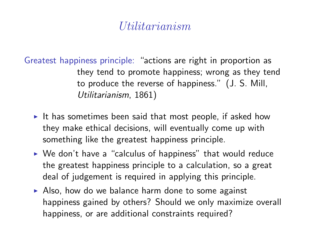### Utilitarianism

Greatest happiness principle: "actions are right in proportion as they tend to promote happiness; wrong as they tend to produce the reverse of happiness." (J. S. Mill, Utilitarianism, 1861)

- It has sometimes been said that most people, if asked how they make ethical decisions, will eventually come up with something like the greatest happiness principle.
- $\triangleright$  We don't have a "calculus of happiness" that would reduce the greatest happiness principle to a calculation, so a great deal of judgement is required in applying this principle.
- $\triangleright$  Also, how do we balance harm done to some against happiness gained by others? Should we only maximize overall happiness, or are additional constraints required?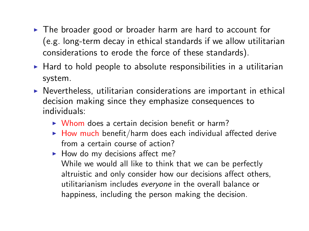- $\triangleright$  The broader good or broader harm are hard to account for (e.g. long-term decay in ethical standards if we allow utilitarian considerations to erode the force of these standards).
- $\blacktriangleright$  Hard to hold people to absolute responsibilities in a utilitarian system.
- $\triangleright$  Nevertheless, utilitarian considerations are important in ethical decision making since they emphasize consequences to individuals:
	- $\triangleright$  Whom does a certain decision benefit or harm?
	- $\blacktriangleright$  How much benefit/harm does each individual affected derive from a certain course of action?
	- $\blacktriangleright$  How do my decisions affect me? While we would all like to think that we can be perfectly altruistic and only consider how our decisions affect others, utilitarianism includes everyone in the overall balance or happiness, including the person making the decision.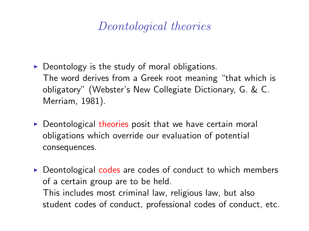# Deontological theories

- $\triangleright$  Deontology is the study of moral obligations. The word derives from a Greek root meaning "that which is obligatory" (Webster's New Collegiate Dictionary, G. & C. Merriam, 1981).
- $\triangleright$  Deontological theories posit that we have certain moral obligations which override our evaluation of potential consequences.
- $\triangleright$  Deontological codes are codes of conduct to which members of a certain group are to be held. This includes most criminal law, religious law, but also student codes of conduct, professional codes of conduct, etc.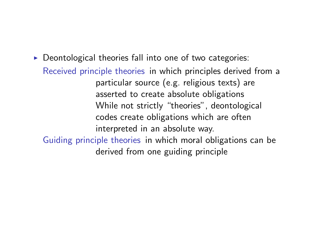$\triangleright$  Deontological theories fall into one of two categories:

Received principle theories in which principles derived from a particular source (e.g. religious texts) are asserted to create absolute obligations While not strictly "theories", deontological codes create obligations which are often interpreted in an absolute way. Guiding principle theories in which moral obligations can be derived from one guiding principle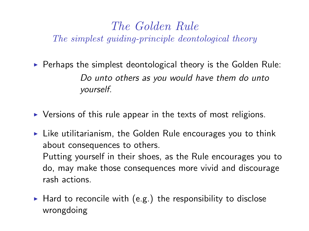### The Golden Rule The simplest guiding-principle deontological theory

- $\triangleright$  Perhaps the simplest deontological theory is the Golden Rule: Do unto others as you would have them do unto yourself.
- $\triangleright$  Versions of this rule appear in the texts of most religions.
- $\blacktriangleright$  Like utilitarianism, the Golden Rule encourages you to think about consequences to others. Putting yourself in their shoes, as the Rule encourages you to do, may make those consequences more vivid and discourage rash actions.
- $\blacktriangleright$  Hard to reconcile with (e.g.) the responsibility to disclose wrongdoing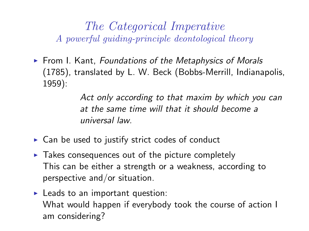The Categorical Imperative A powerful guiding-principle deontological theory

 $\triangleright$  From I. Kant, Foundations of the Metaphysics of Morals (1785), translated by L. W. Beck (Bobbs-Merrill, Indianapolis, 1959):

> Act only according to that maxim by which you can at the same time will that it should become a universal law.

- $\triangleright$  Can be used to justify strict codes of conduct
- $\triangleright$  Takes consequences out of the picture completely This can be either a strength or a weakness, according to perspective and/or situation.
- $\blacktriangleright$  Leads to an important question: What would happen if everybody took the course of action I am considering?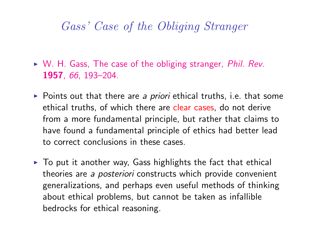### Gass' Case of the Obliging Stranger

- $\triangleright$  [W. H. Gass, The case of the obliging stranger,](http://0-www.jstor.org.darius.uleth.ca/stable/2182374) Phil. Rev. 1957, 66[, 193–204.](http://0-www.jstor.org.darius.uleth.ca/stable/2182374)
- $\triangleright$  Points out that there are a priori ethical truths, i.e. that some ethical truths, of which there are clear cases, do not derive from a more fundamental principle, but rather that claims to have found a fundamental principle of ethics had better lead to correct conclusions in these cases.
- $\triangleright$  To put it another way, Gass highlights the fact that ethical theories are a posteriori constructs which provide convenient generalizations, and perhaps even useful methods of thinking about ethical problems, but cannot be taken as infallible bedrocks for ethical reasoning.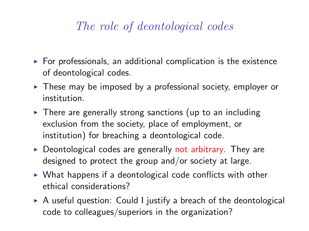# The role of deontological codes

- $\triangleright$  For professionals, an additional complication is the existence of deontological codes.
- $\triangleright$  These may be imposed by a professional society, employer or institution.
- $\triangleright$  There are generally strong sanctions (up to an including exclusion from the society, place of employment, or institution) for breaching a deontological code.
- $\triangleright$  Deontological codes are generally not arbitrary. They are designed to protect the group and/or society at large.
- $\triangleright$  What happens if a deontological code conflicts with other ethical considerations?
- $\triangleright$  A useful question: Could I justify a breach of the deontological code to colleagues/superiors in the organization?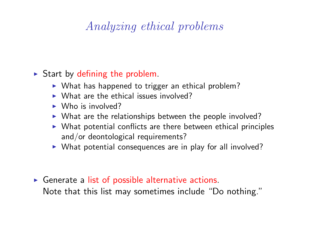# Analyzing ethical problems

#### $\triangleright$  Start by defining the problem.

- $\triangleright$  What has happened to trigger an ethical problem?
- $\triangleright$  What are the ethical issues involved?
- $\triangleright$  Who is involved?
- $\triangleright$  What are the relationships between the people involved?
- $\triangleright$  What potential conflicts are there between ethical principles and/or deontological requirements?
- $\triangleright$  What potential consequences are in play for all involved?

 $\triangleright$  Generate a list of possible alternative actions. Note that this list may sometimes include "Do nothing."